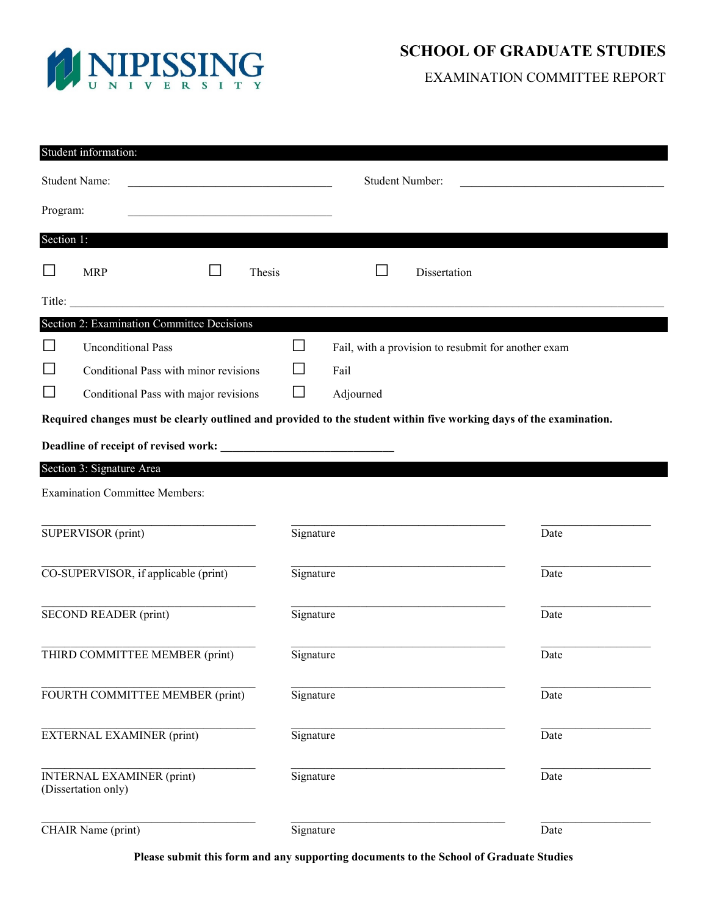

# **SCHOOL OF GRADUATE STUDIES**

EXAMINATION COMMITTEE REPORT

| Student information:                                                                                               |                                                         |        |                             |                        |              |                                                     |  |
|--------------------------------------------------------------------------------------------------------------------|---------------------------------------------------------|--------|-----------------------------|------------------------|--------------|-----------------------------------------------------|--|
| <b>Student Name:</b>                                                                                               |                                                         |        |                             | <b>Student Number:</b> |              |                                                     |  |
| Program:                                                                                                           |                                                         |        |                             |                        |              |                                                     |  |
| Section 1:                                                                                                         |                                                         |        |                             |                        |              |                                                     |  |
| $\Box$                                                                                                             | <b>MRP</b>                                              | Thesis |                             |                        | Dissertation |                                                     |  |
| Title:                                                                                                             |                                                         |        |                             |                        |              |                                                     |  |
| Section 2: Examination Committee Decisions                                                                         |                                                         |        |                             |                        |              |                                                     |  |
| $\Box$                                                                                                             | <b>Unconditional Pass</b>                               |        |                             |                        |              | Fail, with a provision to resubmit for another exam |  |
|                                                                                                                    | Conditional Pass with minor revisions                   |        | $\mathcal{L}_{\mathcal{A}}$ | Fail                   |              |                                                     |  |
| ⊔                                                                                                                  | Conditional Pass with major revisions                   |        | $\Box$                      | Adjourned              |              |                                                     |  |
| Required changes must be clearly outlined and provided to the student within five working days of the examination. |                                                         |        |                             |                        |              |                                                     |  |
|                                                                                                                    |                                                         |        |                             |                        |              |                                                     |  |
| Section 3: Signature Area                                                                                          |                                                         |        |                             |                        |              |                                                     |  |
| <b>Examination Committee Members:</b>                                                                              |                                                         |        |                             |                        |              |                                                     |  |
|                                                                                                                    |                                                         |        |                             |                        |              |                                                     |  |
|                                                                                                                    | SUPERVISOR (print)                                      |        | Signature                   |                        |              | Date                                                |  |
|                                                                                                                    | CO-SUPERVISOR, if applicable (print)                    |        | Signature                   |                        |              | Date                                                |  |
|                                                                                                                    | <b>SECOND READER (print)</b>                            |        | Signature                   |                        |              | Date                                                |  |
|                                                                                                                    | THIRD COMMITTEE MEMBER (print)                          |        | Signature                   |                        |              | Date                                                |  |
|                                                                                                                    | FOURTH COMMITTEE MEMBER (print)                         |        | Signature                   |                        |              | Date                                                |  |
|                                                                                                                    | <b>EXTERNAL EXAMINER (print)</b>                        |        | Signature                   |                        |              | Date                                                |  |
|                                                                                                                    | <b>INTERNAL EXAMINER (print)</b><br>(Dissertation only) |        | Signature                   |                        |              | Date                                                |  |
|                                                                                                                    | CHAIR Name (print)                                      |        | Signature                   |                        |              | Date                                                |  |

**Please submit this form and any supporting documents to the School of Graduate Studies**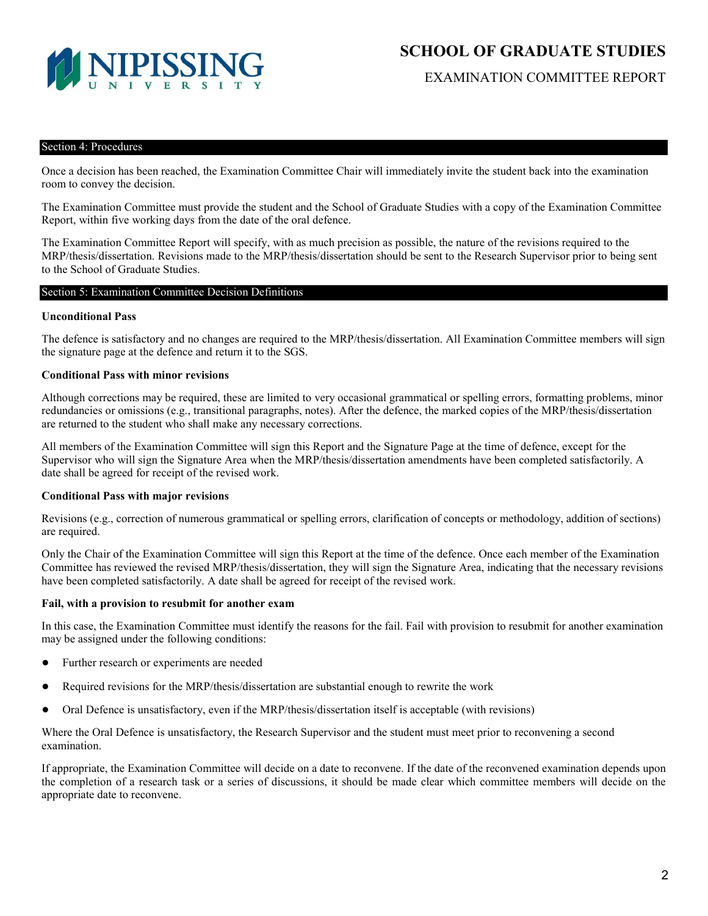

EXAMINATION COMMITTEE REPORT

#### Section 4: Procedures

Once a decision has been reached, the Examination Committee Chair will immediately invite the student back into the examination room to convey the decision.

The Examination Committee must provide the student and the School of Graduate Studies with a copy of the Examination Committee Report, within five working days from the date of the oral defence.

The Examination Committee Report will specify, with as much precision as possible, the nature of the revisions required to the MRP/thesis/dissertation. Revisions made to the MRP/thesis/dissertation should be sent to the Research Supervisor prior to being sent to the School of Graduate Studies.

#### Section 5: Examination Committee Decision Definitions

# **Unconditional Pass**

The defence is satisfactory and no changes are required to the MRP/thesis/dissertation. All Examination Committee members will sign the signature page at the defence and return it to the SGS.

# **Conditional Pass with minor revisions**

Although corrections may be required, these are limited to very occasional grammatical or spelling errors, formatting problems, minor redundancies or omissions (e.g., transitional paragraphs, notes). After the defence, the marked copies of the MRP/thesis/dissertation are returned to the student who shall make any necessary corrections.

All members of the Examination Committee will sign this Report and the Signature Page at the time of defence, except for the Supervisor who will sign the Signature Area when the MRP/thesis/dissertation amendments have been completed satisfactorily. A date shall be agreed for receipt of the revised work.

# **Conditional Pass with major revisions**

Revisions (e.g., correction of numerous grammatical or spelling errors, clarification of concepts or methodology, addition of sections) are required.

Only the Chair of the Examination Committee will sign this Report at the time of the defence. Once each member of the Examination Committee has reviewed the revised MRP/thesis/dissertation, they will sign the Signature Area, indicating that the necessary revisions have been completed satisfactorily. A date shall be agreed for receipt of the revised work.

#### **Fail, with a provision to resubmit for another exam**

In this case, the Examination Committee must identify the reasons for the fail. Fail with provision to resubmit for another examination may be assigned under the following conditions:

- Further research or experiments are needed
- Required revisions for the MRP/thesis/dissertation are substantial enough to rewrite the work
- Oral Defence is unsatisfactory, even if the MRP/thesis/dissertation itself is acceptable (with revisions)

Where the Oral Defence is unsatisfactory, the Research Supervisor and the student must meet prior to reconvening a second examination.

If appropriate, the Examination Committee will decide on a date to reconvene. If the date of the reconvened examination depends upon the completion of a research task or a series of discussions, it should be made clear which committee members will decide on the appropriate date to reconvene.